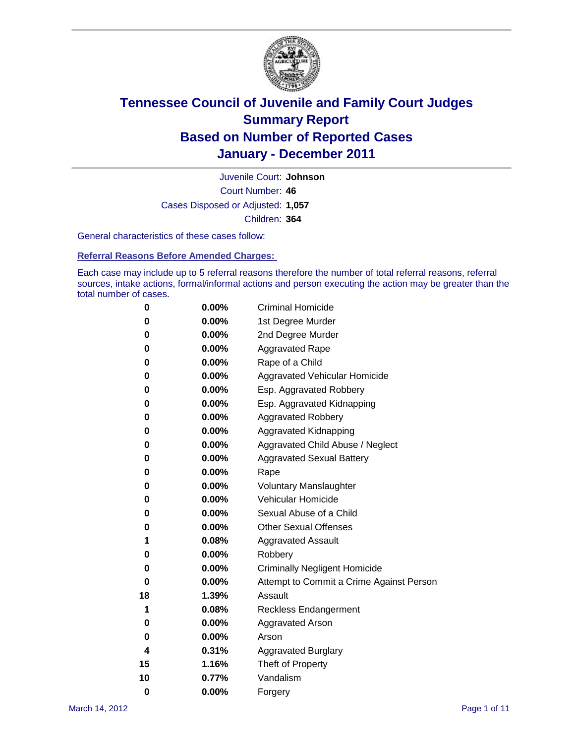

Court Number: **46** Juvenile Court: **Johnson** Cases Disposed or Adjusted: **1,057** Children: **364**

General characteristics of these cases follow:

**Referral Reasons Before Amended Charges:** 

Each case may include up to 5 referral reasons therefore the number of total referral reasons, referral sources, intake actions, formal/informal actions and person executing the action may be greater than the total number of cases.

| 0  | 0.00%    | <b>Criminal Homicide</b>                 |
|----|----------|------------------------------------------|
| 0  | 0.00%    | 1st Degree Murder                        |
| 0  | 0.00%    | 2nd Degree Murder                        |
| 0  | 0.00%    | <b>Aggravated Rape</b>                   |
| 0  | 0.00%    | Rape of a Child                          |
| 0  | 0.00%    | Aggravated Vehicular Homicide            |
| 0  | 0.00%    | Esp. Aggravated Robbery                  |
| 0  | 0.00%    | Esp. Aggravated Kidnapping               |
| 0  | 0.00%    | <b>Aggravated Robbery</b>                |
| 0  | 0.00%    | Aggravated Kidnapping                    |
| 0  | 0.00%    | Aggravated Child Abuse / Neglect         |
| 0  | $0.00\%$ | <b>Aggravated Sexual Battery</b>         |
| 0  | 0.00%    | Rape                                     |
| 0  | $0.00\%$ | <b>Voluntary Manslaughter</b>            |
| 0  | 0.00%    | Vehicular Homicide                       |
| 0  | 0.00%    | Sexual Abuse of a Child                  |
| 0  | 0.00%    | <b>Other Sexual Offenses</b>             |
| 1  | 0.08%    | <b>Aggravated Assault</b>                |
| 0  | $0.00\%$ | Robbery                                  |
| 0  | 0.00%    | <b>Criminally Negligent Homicide</b>     |
| 0  | 0.00%    | Attempt to Commit a Crime Against Person |
| 18 | 1.39%    | Assault                                  |
| 1  | 0.08%    | <b>Reckless Endangerment</b>             |
| 0  | 0.00%    | <b>Aggravated Arson</b>                  |
| 0  | 0.00%    | Arson                                    |
| 4  | 0.31%    | <b>Aggravated Burglary</b>               |
| 15 | 1.16%    | Theft of Property                        |
| 10 | 0.77%    | Vandalism                                |
| 0  | 0.00%    | Forgery                                  |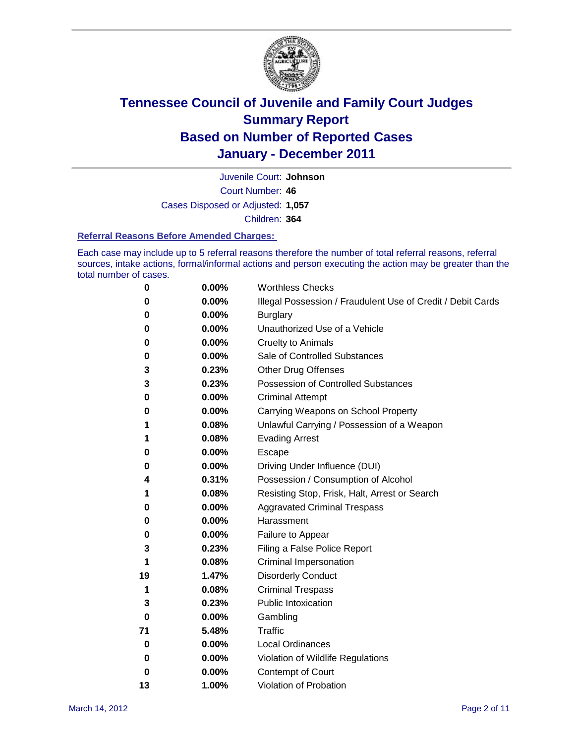

Court Number: **46** Juvenile Court: **Johnson** Cases Disposed or Adjusted: **1,057** Children: **364**

#### **Referral Reasons Before Amended Charges:**

Each case may include up to 5 referral reasons therefore the number of total referral reasons, referral sources, intake actions, formal/informal actions and person executing the action may be greater than the total number of cases.

| 0        | 0.00%    | <b>Worthless Checks</b>                                     |
|----------|----------|-------------------------------------------------------------|
| 0        | 0.00%    | Illegal Possession / Fraudulent Use of Credit / Debit Cards |
| 0        | 0.00%    | <b>Burglary</b>                                             |
| 0        | 0.00%    | Unauthorized Use of a Vehicle                               |
| 0        | 0.00%    | <b>Cruelty to Animals</b>                                   |
| 0        | 0.00%    | Sale of Controlled Substances                               |
| 3        | 0.23%    | <b>Other Drug Offenses</b>                                  |
| 3        | 0.23%    | Possession of Controlled Substances                         |
| 0        | 0.00%    | <b>Criminal Attempt</b>                                     |
| 0        | 0.00%    | Carrying Weapons on School Property                         |
| 1        | 0.08%    | Unlawful Carrying / Possession of a Weapon                  |
| 1        | 0.08%    | <b>Evading Arrest</b>                                       |
| 0        | 0.00%    | Escape                                                      |
| 0        | 0.00%    | Driving Under Influence (DUI)                               |
| 4        | 0.31%    | Possession / Consumption of Alcohol                         |
| 1        | 0.08%    | Resisting Stop, Frisk, Halt, Arrest or Search               |
| 0        | 0.00%    | <b>Aggravated Criminal Trespass</b>                         |
| 0        | 0.00%    | Harassment                                                  |
| 0        | 0.00%    | Failure to Appear                                           |
| 3        | 0.23%    | Filing a False Police Report                                |
| 1        | 0.08%    | Criminal Impersonation                                      |
| 19       | 1.47%    | <b>Disorderly Conduct</b>                                   |
| 1        | 0.08%    | <b>Criminal Trespass</b>                                    |
| 3        | 0.23%    | <b>Public Intoxication</b>                                  |
| 0        | 0.00%    | Gambling                                                    |
| 71       | 5.48%    | <b>Traffic</b>                                              |
| 0        | 0.00%    | <b>Local Ordinances</b>                                     |
| $\bf{0}$ | 0.00%    | Violation of Wildlife Regulations                           |
| 0        | $0.00\%$ | Contempt of Court                                           |
| 13       | 1.00%    | Violation of Probation                                      |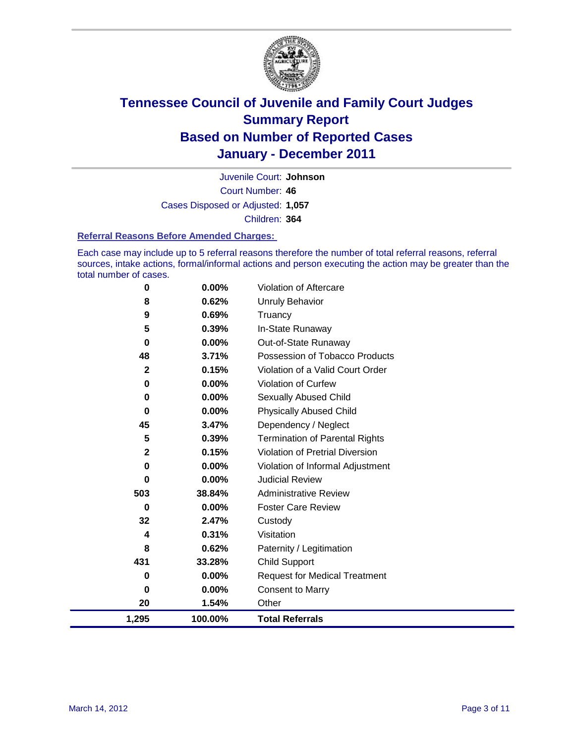

Court Number: **46** Juvenile Court: **Johnson** Cases Disposed or Adjusted: **1,057** Children: **364**

#### **Referral Reasons Before Amended Charges:**

Each case may include up to 5 referral reasons therefore the number of total referral reasons, referral sources, intake actions, formal/informal actions and person executing the action may be greater than the total number of cases.

| 0            | 0.00%    | <b>Violation of Aftercare</b>          |
|--------------|----------|----------------------------------------|
| 8            | 0.62%    | Unruly Behavior                        |
| 9            | 0.69%    | Truancy                                |
| 5            | 0.39%    | In-State Runaway                       |
| $\mathbf 0$  | $0.00\%$ | Out-of-State Runaway                   |
| 48           | 3.71%    | Possession of Tobacco Products         |
| 2            | 0.15%    | Violation of a Valid Court Order       |
| $\bf{0}$     | 0.00%    | <b>Violation of Curfew</b>             |
| $\mathbf 0$  | $0.00\%$ | <b>Sexually Abused Child</b>           |
| 0            | $0.00\%$ | <b>Physically Abused Child</b>         |
| 45           | 3.47%    | Dependency / Neglect                   |
| 5            | 0.39%    | <b>Termination of Parental Rights</b>  |
| $\mathbf{2}$ | 0.15%    | <b>Violation of Pretrial Diversion</b> |
| $\mathbf 0$  | $0.00\%$ | Violation of Informal Adjustment       |
| 0            | 0.00%    | <b>Judicial Review</b>                 |
| 503          | 38.84%   | <b>Administrative Review</b>           |
| 0            | $0.00\%$ | <b>Foster Care Review</b>              |
| 32           | 2.47%    | Custody                                |
| 4            | 0.31%    | Visitation                             |
| 8            | 0.62%    | Paternity / Legitimation               |
| 431          | 33.28%   | <b>Child Support</b>                   |
| 0            | $0.00\%$ | <b>Request for Medical Treatment</b>   |
| 0            | 0.00%    | <b>Consent to Marry</b>                |
| 20           | 1.54%    | Other                                  |
| 1,295        | 100.00%  | <b>Total Referrals</b>                 |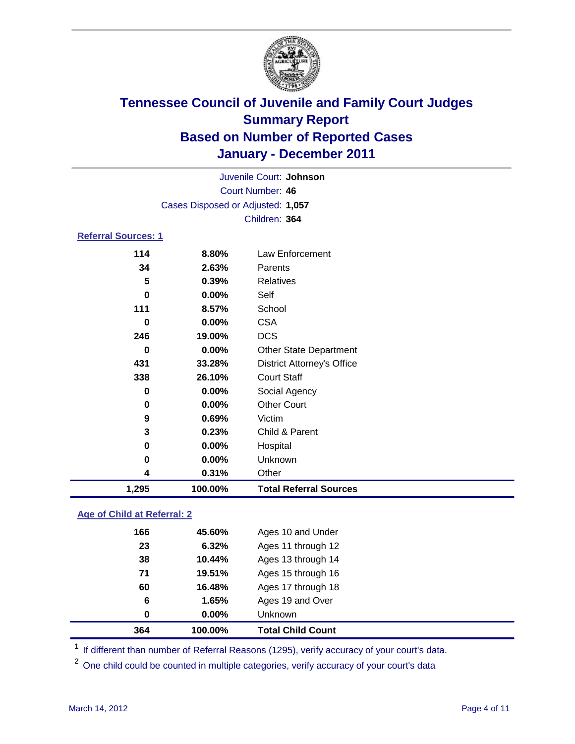

| Juvenile Court: Johnson    |                                   |                                   |  |  |
|----------------------------|-----------------------------------|-----------------------------------|--|--|
| Court Number: 46           |                                   |                                   |  |  |
|                            | Cases Disposed or Adjusted: 1,057 |                                   |  |  |
|                            | Children: 364                     |                                   |  |  |
| <b>Referral Sources: 1</b> |                                   |                                   |  |  |
| 114                        | 8.80%                             | <b>Law Enforcement</b>            |  |  |
| 34                         | 2.63%                             | Parents                           |  |  |
| 5                          | 0.39%                             | <b>Relatives</b>                  |  |  |
| $\bf{0}$                   | 0.00%                             | Self                              |  |  |
| 111                        | 8.57%                             | School                            |  |  |
| 0                          | 0.00%                             | <b>CSA</b>                        |  |  |
| 246                        | 19.00%                            | <b>DCS</b>                        |  |  |
| 0                          | $0.00\%$                          | <b>Other State Department</b>     |  |  |
| 431                        | 33.28%                            | <b>District Attorney's Office</b> |  |  |
| 338                        | 26.10%                            | <b>Court Staff</b>                |  |  |
| $\bf{0}$                   | $0.00\%$                          | Social Agency                     |  |  |
| 0                          | 0.00%                             | <b>Other Court</b>                |  |  |
| 9                          | 0.69%                             | Victim                            |  |  |
| 3                          | 0.23%                             | Child & Parent                    |  |  |
| 0                          | 0.00%                             | Hospital                          |  |  |
| 0                          | 0.00%                             | Unknown                           |  |  |
| 4                          | 0.31%                             | Other                             |  |  |
| 1,295                      | 100.00%                           | <b>Total Referral Sources</b>     |  |  |
|                            |                                   |                                   |  |  |

### **Age of Child at Referral: 2**

| 364 | 100.00% | <b>Total Child Count</b> |
|-----|---------|--------------------------|
| 0   | 0.00%   | <b>Unknown</b>           |
| 6   | 1.65%   | Ages 19 and Over         |
| 60  | 16.48%  | Ages 17 through 18       |
| 71  | 19.51%  | Ages 15 through 16       |
| 38  | 10.44%  | Ages 13 through 14       |
| 23  | 6.32%   | Ages 11 through 12       |
| 166 | 45.60%  | Ages 10 and Under        |
|     |         |                          |

<sup>1</sup> If different than number of Referral Reasons (1295), verify accuracy of your court's data.

<sup>2</sup> One child could be counted in multiple categories, verify accuracy of your court's data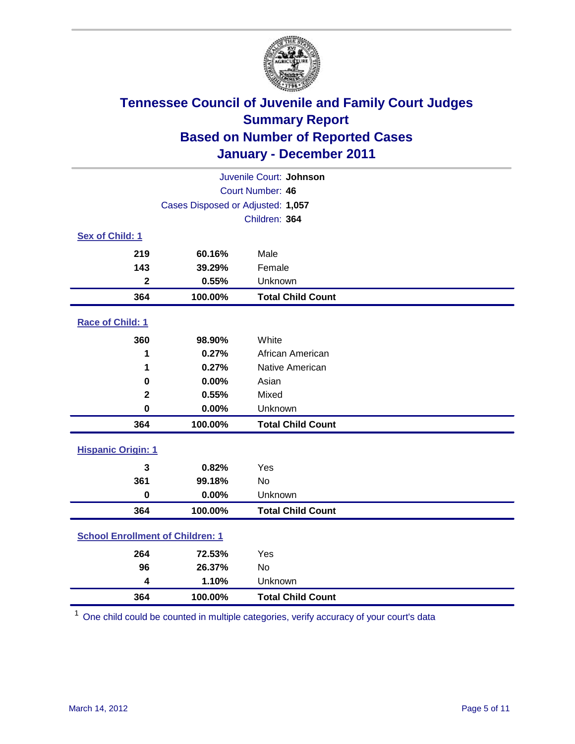

| Juvenile Court: Johnson                 |                                   |                          |  |  |  |
|-----------------------------------------|-----------------------------------|--------------------------|--|--|--|
|                                         | <b>Court Number: 46</b>           |                          |  |  |  |
|                                         | Cases Disposed or Adjusted: 1,057 |                          |  |  |  |
|                                         |                                   | Children: 364            |  |  |  |
| Sex of Child: 1                         |                                   |                          |  |  |  |
| 219                                     | 60.16%                            | Male                     |  |  |  |
| 143                                     | 39.29%                            | Female                   |  |  |  |
| $\mathbf{2}$                            | 0.55%                             | Unknown                  |  |  |  |
| 364                                     | 100.00%                           | <b>Total Child Count</b> |  |  |  |
| Race of Child: 1                        |                                   |                          |  |  |  |
| 360                                     | 98.90%                            | White                    |  |  |  |
| 1                                       | 0.27%                             | African American         |  |  |  |
| 1                                       | 0.27%                             | Native American          |  |  |  |
| 0                                       | 0.00%                             | Asian                    |  |  |  |
| $\mathbf 2$                             | 0.55%                             | Mixed                    |  |  |  |
| $\mathbf 0$                             | 0.00%                             | Unknown                  |  |  |  |
| 364                                     | 100.00%                           | <b>Total Child Count</b> |  |  |  |
| <b>Hispanic Origin: 1</b>               |                                   |                          |  |  |  |
| 3                                       | 0.82%                             | Yes                      |  |  |  |
| 361                                     | 99.18%                            | No                       |  |  |  |
| $\mathbf 0$                             | 0.00%                             | Unknown                  |  |  |  |
| 364                                     | 100.00%                           | <b>Total Child Count</b> |  |  |  |
| <b>School Enrollment of Children: 1</b> |                                   |                          |  |  |  |
| 264                                     | 72.53%                            | Yes                      |  |  |  |
| 96                                      | 26.37%                            | No                       |  |  |  |
| 4                                       | 1.10%                             | Unknown                  |  |  |  |
| 364                                     | 100.00%                           | <b>Total Child Count</b> |  |  |  |

One child could be counted in multiple categories, verify accuracy of your court's data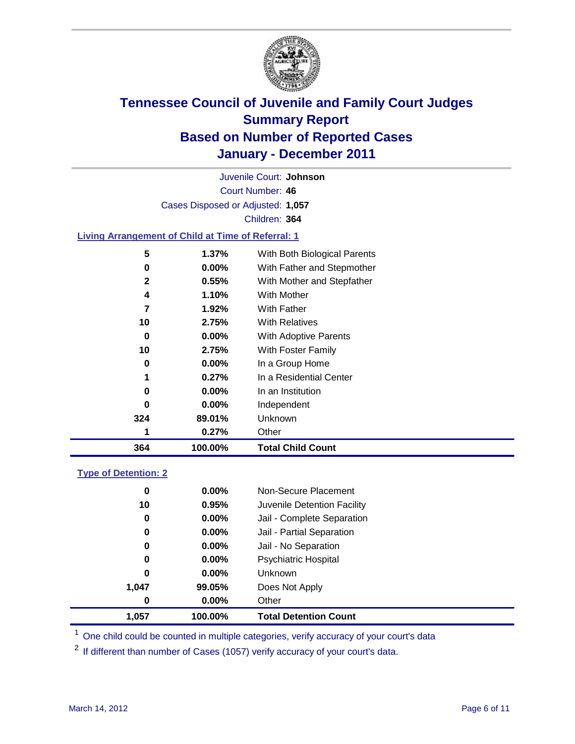

Court Number: **46** Juvenile Court: **Johnson** Cases Disposed or Adjusted: **1,057** Children: **364**

### **Living Arrangement of Child at Time of Referral: 1**

| 364 | 100.00%  | <b>Total Child Count</b>     |
|-----|----------|------------------------------|
|     | 0.27%    | Other                        |
| 324 | 89.01%   | Unknown                      |
| 0   | $0.00\%$ | Independent                  |
| 0   | $0.00\%$ | In an Institution            |
|     | 0.27%    | In a Residential Center      |
| 0   | $0.00\%$ | In a Group Home              |
| 10  | 2.75%    | With Foster Family           |
| 0   | 0.00%    | With Adoptive Parents        |
| 10  | 2.75%    | <b>With Relatives</b>        |
| 7   | 1.92%    | With Father                  |
| 4   | 1.10%    | With Mother                  |
| 2   | 0.55%    | With Mother and Stepfather   |
| 0   | $0.00\%$ | With Father and Stepmother   |
| 5   | 1.37%    | With Both Biological Parents |
|     |          |                              |

#### **Type of Detention: 2**

| 1,057 | 100.00%  | <b>Total Detention Count</b> |  |
|-------|----------|------------------------------|--|
| 0     | 0.00%    | Other                        |  |
| 1,047 | 99.05%   | Does Not Apply               |  |
| 0     | $0.00\%$ | Unknown                      |  |
| 0     | $0.00\%$ | Psychiatric Hospital         |  |
| 0     | 0.00%    | Jail - No Separation         |  |
| 0     | $0.00\%$ | Jail - Partial Separation    |  |
| 0     | 0.00%    | Jail - Complete Separation   |  |
| 10    | 0.95%    | Juvenile Detention Facility  |  |
| 0     | $0.00\%$ | Non-Secure Placement         |  |
|       |          |                              |  |

<sup>1</sup> One child could be counted in multiple categories, verify accuracy of your court's data

<sup>2</sup> If different than number of Cases (1057) verify accuracy of your court's data.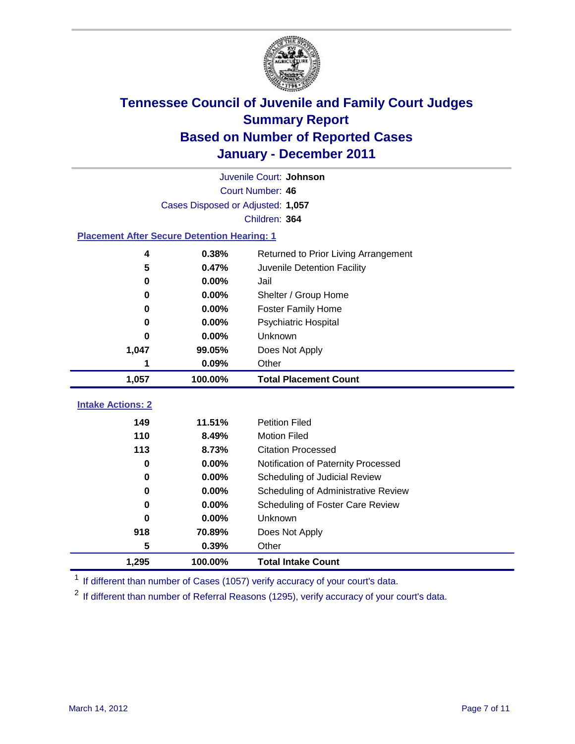

|                                                    | Juvenile Court: Johnson           |                                      |  |  |  |
|----------------------------------------------------|-----------------------------------|--------------------------------------|--|--|--|
|                                                    | Court Number: 46                  |                                      |  |  |  |
|                                                    | Cases Disposed or Adjusted: 1,057 |                                      |  |  |  |
|                                                    |                                   | Children: 364                        |  |  |  |
| <b>Placement After Secure Detention Hearing: 1</b> |                                   |                                      |  |  |  |
| 4                                                  | 0.38%                             | Returned to Prior Living Arrangement |  |  |  |
| 5                                                  | 0.47%                             | Juvenile Detention Facility          |  |  |  |
| $\bf{0}$                                           | 0.00%                             | Jail                                 |  |  |  |
| 0                                                  | 0.00%                             | Shelter / Group Home                 |  |  |  |
| $\bf{0}$                                           | 0.00%                             | <b>Foster Family Home</b>            |  |  |  |
| 0                                                  | 0.00%                             | Psychiatric Hospital                 |  |  |  |
| 0                                                  | 0.00%                             | Unknown                              |  |  |  |
| 1,047                                              | 99.05%                            | Does Not Apply                       |  |  |  |
| 1                                                  | 0.09%                             | Other                                |  |  |  |
| 1,057                                              | 100.00%                           | <b>Total Placement Count</b>         |  |  |  |
| <b>Intake Actions: 2</b>                           |                                   |                                      |  |  |  |
|                                                    |                                   |                                      |  |  |  |
| 149                                                | 11.51%                            | <b>Petition Filed</b>                |  |  |  |
| 110                                                | 8.49%                             | <b>Motion Filed</b>                  |  |  |  |
| 113                                                | 8.73%                             | <b>Citation Processed</b>            |  |  |  |
| 0                                                  | $0.00\%$                          | Notification of Paternity Processed  |  |  |  |
| $\bf{0}$                                           | 0.00%                             | Scheduling of Judicial Review        |  |  |  |
| 0                                                  | 0.00%                             | Scheduling of Administrative Review  |  |  |  |
| 0                                                  | 0.00%                             | Scheduling of Foster Care Review     |  |  |  |
| 0                                                  | 0.00%                             | Unknown                              |  |  |  |
| 918                                                | 70.89%                            | Does Not Apply                       |  |  |  |
| 5                                                  | 0.39%                             | Other                                |  |  |  |
| 1,295                                              | 100.00%                           | <b>Total Intake Count</b>            |  |  |  |

<sup>1</sup> If different than number of Cases (1057) verify accuracy of your court's data.

<sup>2</sup> If different than number of Referral Reasons (1295), verify accuracy of your court's data.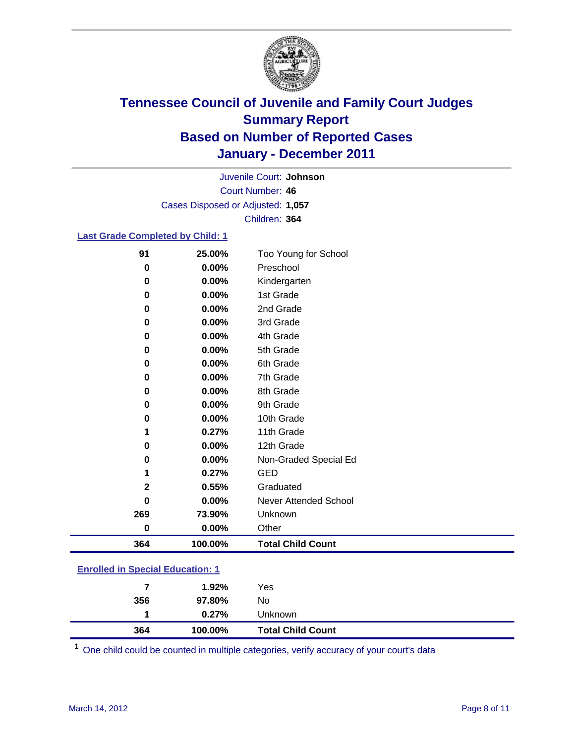

Court Number: **46** Juvenile Court: **Johnson** Cases Disposed or Adjusted: **1,057** Children: **364**

### **Last Grade Completed by Child: 1**

| 91       | 25.00%  | Too Young for School     |  |
|----------|---------|--------------------------|--|
| $\bf{0}$ | 0.00%   | Preschool                |  |
| 0        | 0.00%   | Kindergarten             |  |
| 0        | 0.00%   | 1st Grade                |  |
| 0        | 0.00%   | 2nd Grade                |  |
| 0        | 0.00%   | 3rd Grade                |  |
| 0        | 0.00%   | 4th Grade                |  |
| 0        | 0.00%   | 5th Grade                |  |
| 0        | 0.00%   | 6th Grade                |  |
| 0        | 0.00%   | 7th Grade                |  |
| 0        | 0.00%   | 8th Grade                |  |
| 0        | 0.00%   | 9th Grade                |  |
| 0        | 0.00%   | 10th Grade               |  |
| 1        | 0.27%   | 11th Grade               |  |
| 0        | 0.00%   | 12th Grade               |  |
| 0        | 0.00%   | Non-Graded Special Ed    |  |
|          | 0.27%   | <b>GED</b>               |  |
| 2        | 0.55%   | Graduated                |  |
| 0        | 0.00%   | Never Attended School    |  |
| 269      | 73.90%  | Unknown                  |  |
| $\bf{0}$ | 0.00%   | Other                    |  |
| 364      | 100.00% | <b>Total Child Count</b> |  |

### **Enrolled in Special Education: 1**

| 364 | 100.00%  | <b>Total Child Count</b> |
|-----|----------|--------------------------|
|     | $0.27\%$ | <b>Unknown</b>           |
| 356 | 97.80%   | No                       |
| 7   | $1.92\%$ | Yes                      |
|     |          |                          |

One child could be counted in multiple categories, verify accuracy of your court's data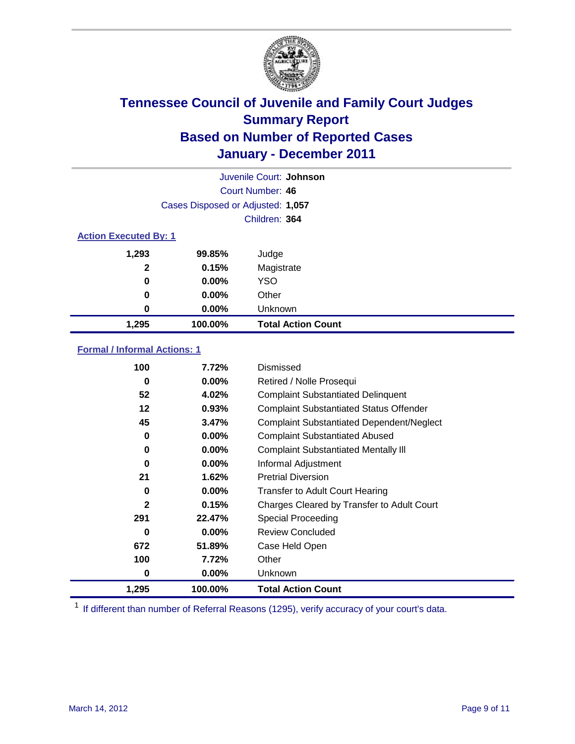

|                              | Juvenile Court: Johnson           |                           |  |  |
|------------------------------|-----------------------------------|---------------------------|--|--|
|                              | Court Number: 46                  |                           |  |  |
|                              | Cases Disposed or Adjusted: 1,057 |                           |  |  |
|                              |                                   | Children: 364             |  |  |
| <b>Action Executed By: 1</b> |                                   |                           |  |  |
| 1,293                        | 99.85%                            | Judge                     |  |  |
| $\mathbf{2}$                 | 0.15%                             | Magistrate                |  |  |
| 0                            | $0.00\%$                          | <b>YSO</b>                |  |  |
| 0                            | $0.00\%$                          | Other                     |  |  |
| 0                            | 0.00%                             | Unknown                   |  |  |
| 1,295                        | 100.00%                           | <b>Total Action Count</b> |  |  |

### **Formal / Informal Actions: 1**

| 100   | 7.72%    | Dismissed                                        |
|-------|----------|--------------------------------------------------|
| 0     | $0.00\%$ | Retired / Nolle Prosequi                         |
| 52    | 4.02%    | <b>Complaint Substantiated Delinquent</b>        |
| 12    | 0.93%    | <b>Complaint Substantiated Status Offender</b>   |
| 45    | 3.47%    | <b>Complaint Substantiated Dependent/Neglect</b> |
| 0     | $0.00\%$ | <b>Complaint Substantiated Abused</b>            |
| 0     | $0.00\%$ | <b>Complaint Substantiated Mentally III</b>      |
| 0     | $0.00\%$ | Informal Adjustment                              |
| 21    | 1.62%    | <b>Pretrial Diversion</b>                        |
| 0     | $0.00\%$ | <b>Transfer to Adult Court Hearing</b>           |
| 2     | 0.15%    | Charges Cleared by Transfer to Adult Court       |
| 291   | 22.47%   | Special Proceeding                               |
| 0     | $0.00\%$ | <b>Review Concluded</b>                          |
| 672   | 51.89%   | Case Held Open                                   |
| 100   | 7.72%    | Other                                            |
| 0     | $0.00\%$ | <b>Unknown</b>                                   |
| 1,295 | 100.00%  | <b>Total Action Count</b>                        |

<sup>1</sup> If different than number of Referral Reasons (1295), verify accuracy of your court's data.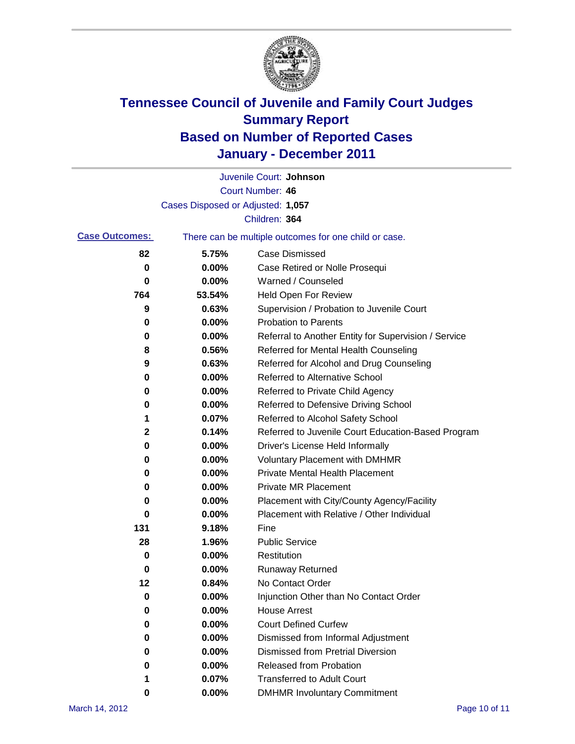

|                       |                                   | Juvenile Court: Johnson                               |
|-----------------------|-----------------------------------|-------------------------------------------------------|
|                       |                                   | <b>Court Number: 46</b>                               |
|                       | Cases Disposed or Adjusted: 1,057 |                                                       |
|                       |                                   | Children: 364                                         |
| <b>Case Outcomes:</b> |                                   | There can be multiple outcomes for one child or case. |
| 82                    | 5.75%                             | <b>Case Dismissed</b>                                 |
| 0                     | 0.00%                             | Case Retired or Nolle Prosequi                        |
| 0                     | 0.00%                             | Warned / Counseled                                    |
| 764                   | 53.54%                            | Held Open For Review                                  |
| 9                     | 0.63%                             | Supervision / Probation to Juvenile Court             |
| 0                     | 0.00%                             | <b>Probation to Parents</b>                           |
| 0                     | 0.00%                             | Referral to Another Entity for Supervision / Service  |
| 8                     | 0.56%                             | Referred for Mental Health Counseling                 |
| 9                     | 0.63%                             | Referred for Alcohol and Drug Counseling              |
| 0                     | 0.00%                             | Referred to Alternative School                        |
| 0                     | 0.00%                             | Referred to Private Child Agency                      |
| 0                     | 0.00%                             | Referred to Defensive Driving School                  |
| 1                     | 0.07%                             | Referred to Alcohol Safety School                     |
| 2                     | 0.14%                             | Referred to Juvenile Court Education-Based Program    |
| 0                     | 0.00%                             | Driver's License Held Informally                      |
| 0                     | 0.00%                             | <b>Voluntary Placement with DMHMR</b>                 |
| 0                     | 0.00%                             | <b>Private Mental Health Placement</b>                |
| 0                     | 0.00%                             | <b>Private MR Placement</b>                           |
| 0                     | 0.00%                             | Placement with City/County Agency/Facility            |
| 0                     | 0.00%                             | Placement with Relative / Other Individual            |
| 131                   | 9.18%                             | Fine                                                  |
| 28                    | 1.96%                             | <b>Public Service</b>                                 |
| 0                     | 0.00%                             | Restitution                                           |
| 0                     | 0.00%                             | <b>Runaway Returned</b>                               |
| 12                    | 0.84%                             | No Contact Order                                      |
| 0                     | 0.00%                             | Injunction Other than No Contact Order                |
| 0                     | 0.00%                             | <b>House Arrest</b>                                   |
| 0                     | 0.00%                             | <b>Court Defined Curfew</b>                           |
| 0                     | 0.00%                             | Dismissed from Informal Adjustment                    |
| 0                     | 0.00%                             | <b>Dismissed from Pretrial Diversion</b>              |
| 0                     | 0.00%                             | Released from Probation                               |
| 1                     | 0.07%                             | <b>Transferred to Adult Court</b>                     |
| 0                     | $0.00\%$                          | <b>DMHMR Involuntary Commitment</b>                   |